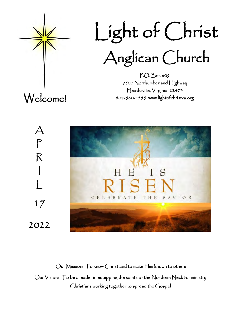

 Light of Christ Anglican Church

P.O. Box 609 9500 Northumberland Highway Heathsville, Virginia 22473 804-580-4555 www.lightofchristva.org

Welcome!

 $\bm{\mathcal{A}}$ 

P

R

I

 $\mathbf{I}$ 

17

2022



Our Mission: To know Christ and to make Him known to others Our Vision: To be a leader in equipping the saints of the Northern Neck for ministry Christians working together to spread the Gospel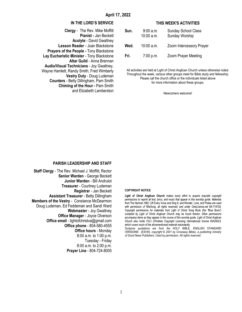#### **IN THE LORD'S SERVICE**

**Clergy** - The Rev. Mike Moffitt **Pianist -** Jan Beckett **Acolyte** - David Gwaltney **Lesson Reader** - Joan Blackstone **Prayers of the People -** Tony Blackstone **Lay Eucharistic Minister** - Tony Blackstone **Altar Guild** - Anna Brennan **Audio/Visual Technicians** - Joy Gwaltney, Wayne Hamlett, Randy Smith, Fred Wimberly **Vestry Duty** - Doug Ludeman **Counters** - Betty Dillingham, Pam Smith **Chiming of the Hour -** Pam Smith and Elizabeth Lamberston

#### **THIS WEEK'S ACTIVITIES**

| Sun. | $9:00$ a.m.<br>$10:00$ a.m. | <b>Sunday School Class</b><br>Sunday Worship |
|------|-----------------------------|----------------------------------------------|
| Wed. | $10:00$ a.m.                | Zoom Intercessory Prayer                     |
| Fri. | 7:00 p.m.                   | <b>Zoom Prayer Meeting</b>                   |

All activities are held at Light of Christ Anglican Church unless otherwise noted. Throughout the week, various other groups meet for Bible study and fellowship. Please call the church office or the individuals listed above for more information about these groups.

Newcomers welcome!

#### **PARISH LEADERSHIP AND STAFF**

**Staff Clergy** - The Rev. Michael J. Moffitt, Rector **Senior Warden** - George Beckett **Junior Warden** - Bill Andrulot **Treasurer** - Courtney Ludeman **Registrar** - Jan Beckett **Assistant Treasurer** - Betty Dillingham **Members of the Vestry** - Constance McDearmon Doug Ludeman, Ed Feddeman and Sandi Ward **Webmaster** - Joy Gwaltney **Office Manager** - Joyce Olverson **Office email** - lightofchristva@gmail.com **Office phone** - 804-580-4555 **Office hours** - Monday 8:00 a.m. to 1:00 p.m. Tuesday - Friday 8:00 a.m. to 2:00 p.m. **Prayer Line** - 804-724-8005

#### **COPYRIGHT NOTICE**

Light of Christ Anglican Church makes every effort to acquire requisite copyright permissions to reprint all text, lyrics, and music that appear in this worship guide. Materials from The Hymnal 1982; Lift Every Voice and Sing II; and Wonder, Love, and Praise are used with permission of RiteSong, all rights reserved; and under OneLicense.net #A-714729. Copyright permissions for materials from Light of Christ Song Book (the "Blue Book") compiled by Light of Christ Anglican Church may be found therein. Other permissions accompany items as they appear in the course of this worship quide. Light of Christ Anglican Church also holds CCLI (Christian Copyright Licensing International) license #2429023, which covers much of the aforementioned material redundantly.

*Scripture quotations are from the* HOLY BIBLE*,* ENGLISH STANDARD VERSION*®* . (ESV*®), copyright © 2001 by Crossway Bibles, a publishing ministry of Good News Publishers. Used by permission. All rights reserved.*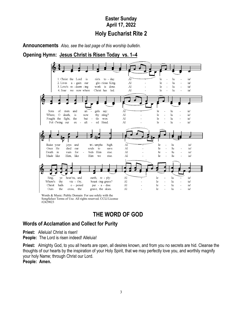# **Easter Sunday April 17, 2022 Holy Eucharist Rite 2**

**Announcements** *Also, see the last page of this worship bulletin.* 

**Opening Hymn: Jesus Christ is Risen Today vs. 1–4**



Words & Music: Public Domain For use solely with the SongSelect Terms of Use. All rights reserved. CCLI License #2429023

# **THE WORD OF GOD**

# **Words of Acclamation and Collect for Purity**

**Priest:** Alleluia! Christ is risen!

**People:** The Lord is risen indeed! Alleluia!

**Priest:** Almighty God, to you all hearts are open, all desires known, and from you no secrets are hid. Cleanse the thoughts of our hearts by the inspiration of your Holy Spirit, that we may perfectly love you, and worthily magnify your holy Name; through Christ our Lord.

**People: Amen.**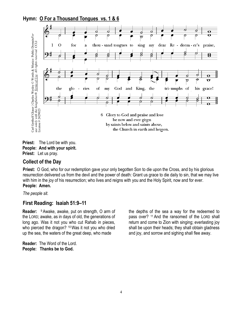**Hymn: O For a Thousand Tongues vs. 1 & 6**



**Priest:** The Lord be with you. **People: And with your spirit. Priest:** Let us pray.

## **Collect of the Day**

**Priest:** O God, who for our redemption gave your only begotten Son to die upon the Cross, and by his glorious resurrection delivered us from the devil and the power of death: Grant us grace to die daily to sin, that we may live with him in the joy of his resurrection; who lives and reigns with you and the Holy Spirit, now and for ever. **People: Amen.**

*The people sit.*

## **First Reading: Isaiah 51:9–11**

**Reader:** <sup>9</sup> Awake, awake, put on strength, O arm of the LORD; awake, as in days of old, the generations of long ago. Was it not you who cut Rahab in pieces, who pierced the dragon? <sup>10</sup> Was it not you who dried up the sea, the waters of the great deep, who made

**Reader:** The Word of the Lord. **People: Thanks be to God.**

the depths of the sea a way for the redeemed to pass over? <sup>11</sup> And the ransomed of the LORD shall return and come to Zion with singing; everlasting joy shall be upon their heads; they shall obtain gladness and joy, and sorrow and sighing shall flee away.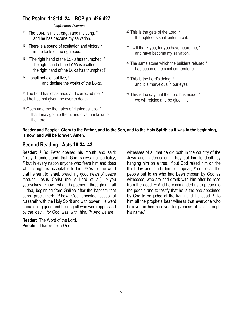## **The Psalm: 118:14–24 BCP pp. 426-427**

*Confitemini Domino*

- 14 The LORD is my strength and my song, \* and he has become my salvation.
- 15 There is a sound of exultation and victory \* in the tents of the righteous:
- 16 "The right hand of the LORD has triumphed! \* the right hand of the LORD is exalted! the right hand of the LORD has triumphed!"
- 17 I shall not die, but live, \* and declare the works of the LORD.

<sup>18</sup> The Lord has chastened and corrected me, \* but he has not given me over to death.

<sup>19</sup> Open unto me the gates of righteousness, \* that I may go into them, and give thanks unto the Lord.

- <sup>20</sup> This is the gate of the Lord; \* the righteous shall enter into it.
- <sup>21</sup> I will thank you, for you have heard me, \* and have become my salvation.
- $22$  The same stone which the builders refused  $*$ has become the chief cornerstone.
- <sup>23</sup> This is the Lord's doing, \* and it is marvelous in our eyes.
- <sup>24</sup> This is the day that the Lord has made; \* we will rejoice and be glad in it.

#### **Reader and People: Glory to the Father, and to the Son, and to the Holy Spirit; as it was in the beginning, is now, and will be forever. Amen.**

### **Second Reading: Acts 10:34–43**

**Reader:** <sup>34</sup> So Peter opened his mouth and said: "Truly I understand that God shows no partiality, <sup>35</sup> but in every nation anyone who fears him and does what is right is acceptable to him. 36 As for the word that he sent to Israel, preaching good news of peace through Jesus Christ (he is Lord of all), <sup>37</sup> you yourselves know what happened throughout all Judea, beginning from Galilee after the baptism that John proclaimed: <sup>38</sup> how God anointed Jesus of Nazareth with the Holy Spirit and with power. He went about doing good and healing all who were oppressed by the devil, for God was with him. <sup>39</sup> And we are

**Reader:** The Word of the Lord. **People**: Thanks be to God.

witnesses of all that he did both in the country of the Jews and in Jerusalem. They put him to death by hanging him on a tree, <sup>40</sup> but God raised him on the third day and made him to appear, <sup>41</sup> not to all the people but to us who had been chosen by God as witnesses, who ate and drank with him after he rose from the dead. <sup>42</sup> And he commanded us to preach to the people and to testify that he is the one appointed by God to be judge of the living and the dead. <sup>43</sup> To him all the prophets bear witness that everyone who believes in him receives forgiveness of sins through his name."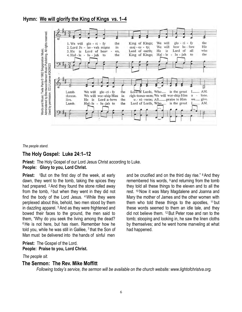### **Hymn: We will glorify the King of Kings vs. 1–4**



*The people stand.*

#### **The Holy Gospel: Luke 24:1–12**

**Priest:** The Holy Gospel of our Lord Jesus Christ according to Luke. **People: Glory to you, Lord Christ.** 

**Priest:** <sup>1</sup>But on the first day of the week, at early dawn, they went to the tomb, taking the spices they had prepared. <sup>2</sup> And they found the stone rolled away from the tomb, <sup>3</sup> but when they went in they did not find the body of the Lord Jesus. <sup>4</sup>While they were perplexed about this, behold, two men stood by them in dazzling apparel. <sup>5</sup> And as they were frightened and bowed their faces to the ground, the men said to them, "Why do you seek the living among the dead? <sup>6</sup> He is not here, but has risen. Remember how he told you, while he was still in Galilee, <sup>7</sup> that the Son of Man must be delivered into the hands of sinful men *The people stand*<br>*The people stands* and Music Constants and Music Prince the Holy Gorgian Music Constants of a 1982 of the Music Priest: The Holy Gorgian Music Publishing approved.<br>The people: Glor Priest: 1 But dawn, t

**Priest:** The Gospel of the Lord. **People: Praise to you, Lord Christ.**

The people sit.

#### **The Sermon: The Rev. Mike Moffitt**

*Following today's service, the sermon will be available on the church website: www.lightofchristva.org.*

and be crucified and on the third day rise." <sup>8</sup>And they remembered his words,  $9$  and returning from the tomb they told all these things to the eleven and to all the rest. <sup>10</sup> Now it was Mary Magdalene and Joanna and Mary the mother of James and the other women with them who told these things to the apostles, <sup>11</sup> but these words seemed to them an idle tale, and they did not believe them. <sup>12</sup> But Peter rose and ran to the tomb; stooping and looking in, he saw the linen cloths by themselves; and he went home marveling at what had happened.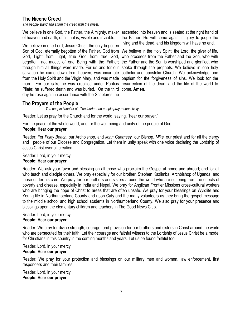### **The Nicene Creed**

*The people stand and affirm the creed with the priest.*

of heaven and earth, of all that is, visible and invisible.

We believe in one Lord, Jesus Christ, the only-begotten Son of God, eternally begotten of the Father, God from We believe in the Holy Spirit, the Lord, the giver of life, God, Light from Light, true God from true God, who proceeds from the Father and the Son, who with begotten, not made, of one Being with the Father; the Father and the Son is worshiped and glorified, who through him all things were made. For us and for our spoke through the prophets. We believe in one holy salvation he came down from heaven, was incarnate catholic and apostolic Church. We acknowledge one from the Holy Spirit and the Virgin Mary, and was made baptism for the forgiveness of sins. We look for the man. For our sake he was crucified under Pontius resurrection of the dead, and the life of the world to Pilate; he suffered death and was buried. On the third come. **Amen.** day he rose again in accordance with the Scriptures; he

We believe in one God, the Father, the Almighty, maker ascended into heaven and is seated at the right hand of the Father. He will come again in glory to judge the living and the dead, and his kingdom will have no end.

### **The Prayers of the People**

*The people kneel or sit. The leader and people pray responsively.*

Reader: Let us pray for the Church and for the world, saying, "hear our prayer."

For the peace of the whole world, and for the well-being and unity of the people of God.

#### **People: Hear our prayer.**

Reader: For *Foley Beach,* our Archbishop, and *John Guernsey,* our Bishop, *Mike,* our priest and for all the clergy and people of our Diocese and Congregation. Let them in unity speak with one voice declaring the Lordship of Jesus Christ over all creation.

#### Reader: Lord, in your mercy:

#### **People: Hear our prayer.**

Reader: We ask your favor and blessing on all those who proclaim the Gospel at home and abroad; and for all who teach and disciple others. We pray especially for our brother, Stephen Kaziimba, Archbishop of Uganda, and those under his care. We pray for our brothers and sisters around the world who are suffering from the effects of poverty and disease, especially in India and Nepal. We pray for Anglican Frontier Missions cross-cultural workers who are bringing the hope of Christ to areas that are often unsafe. We pray for your blessings on Wyldlife and Young life in Northumberland County and upon Caty and the many volunteers as they bring the gospel message to the middle school and high school students in Northumberland County. We also pray for your presence and blessings upon the elementary children and teachers in The Good News Club.

Reader: Lord, in your mercy:

#### **People: Hear our prayer.**

Reader: We pray for divine strength, courage, and provision for our brothers and sisters in Christ around the world who are persecuted for their faith. Let their courage and faithful witness to the Lordship of Jesus Christ be a model for Christians in this country in the coming months and years. Let us be found faithful too.

Reader: Lord, in your mercy:

#### **People: Hear our prayer.**

Reader: We pray for your protection and blessings on our military men and women, law enforcement, first responders and their families.

Reader: Lord, in your mercy: **People: Hear our prayer.**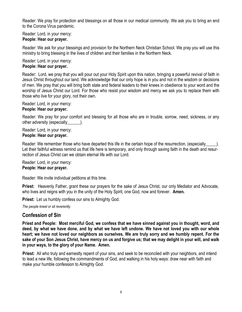Reader: We pray for protection and blessings on all those in our medical community. We ask you to bring an end to the Corona Virus pandemic.

Reader: Lord, in your mercy: **People: Hear our prayer.**

Reader: We ask for your blessings and provision for the Northern Neck Christian School. We pray you will use this ministry to bring blessing in the lives of children and their families in the Northern Neck.

Reader: Lord, in your mercy:

### **People: Hear our prayer.**

Reader: Lord, we pray that you will pour out your Holy Spirit upon this nation, bringing a powerful revival of faith in Jesus Christ throughout our land. We acknowledge that our only hope is in you and not in the wisdom or decisions of men. We pray that you will bring both state and federal leaders to their knees in obedience to your word and the worship of Jesus Christ our Lord. For those who resist your wisdom and mercy we ask you to replace them with those who live for your glory, not their own.

Reader: Lord, in your mercy:

### **People: Hear our prayer.**

Reader: We pray for your comfort and blessing for all those who are in trouble, sorrow, need, sickness, or any other adversity (especially  $\qquad$ ).

Reader: Lord, in your mercy:

### **People: Hear our prayer.**

Reader: We remember those who have departed this life in the certain hope of the resurrection, (especially ). Let their faithful witness remind us that life here is temporary, and only through saving faith in the death and resurrection of Jesus Christ can we obtain eternal life with our Lord.

Reader: Lord, in your mercy: **People: Hear our prayer.**

Reader: We invite individual petitions at this time.

**Priest:** Heavenly Father, grant these our prayers for the sake of Jesus Christ, our only Mediator and Advocate, who lives and reigns with you in the unity of the Holy Spirit, one God, now and forever. **Amen.**

**Priest:** Let us humbly confess our sins to Almighty God.

*The people kneel or sit reverently.*

## **Confession of Sin**

**Priest and People: Most merciful God, we confess that we have sinned against you in thought, word, and deed, by what we have done, and by what we have left undone. We have not loved you with our whole heart; we have not loved our neighbors as ourselves. We are truly sorry and we humbly repent. For the sake of your Son Jesus Christ, have mercy on us and forgive us; that we may delight in your will, and walk in your ways, to the glory of your Name. Amen.**

**Priest:** All who truly and earnestly repent of your sins, and seek to be reconciled with your neighbors, and intend to lead a new life, following the commandments of God, and walking in his holy ways: draw near with faith and make your humble confession to Almighty God.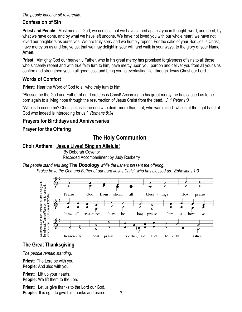### *The people kneel or sit reverently.*

### **Confession of Sin**

**Priest and People***:* Most merciful God, we confess that we have sinned against you in thought, word, and deed, by what we have done, and by what we have left undone. We have not loved you with our whole heart; we have not loved our neighbors as ourselves. We are truly sorry and we humbly repent. For the sake of your Son Jesus Christ, have mercy on us and forgive us; that we may delight in your will, and walk in your ways, to the glory of your Name. **Amen.** 

**Priest:**Almighty God our heavenly Father, who in his great mercy has promised forgiveness of sins to all those who sincerely repent and with true faith turn to him, have mercy upon you, pardon and deliver you from all your sins, confirm and strengthen you in all goodness, and bring you to everlasting life; through Jesus Christ our Lord.

### **Words of Comfort**

**Priest:** Hear the Word of God to all who truly turn to him.

"Blessed be the God and Father of our Lord Jesus Christ! According to his great mercy, he has caused us to be born again to a living hope through the resurrection of Jesus Christ from the dead,…" *1 Peter 1:3*

"Who is to condemn? Christ Jesus is the one who died--more than that, who was raised--who is at the right hand of God who indeed is interceding for us." *Romans 8:34*

## **Prayers for Birthdays and Anniversaries**

## **Prayer for the Offering**

# **The Holy Communion**

### **Choir Anthem: Jesus Lives! Sing an Alleluia!**

 By Deborah Govenor Recorded Accompaniment by Judy Rasberry

*The people stand and sing* **The Doxology** *while the ushers present the offering.*

*Praise be to the God and Father of our Lord Jesus Christ, who has blessed us. Ephesians 1:3*



# **The Great Thanksgiving**

*The people remain standing.*

**Priest:** The Lord be with you. **People:** And also with you.

**Priest:** Lift up your hearts.

**People:** We lift them to the Lord.

**Priest:** Let us give thanks to the Lord our God. **People:** It is right to give him thanks and praise.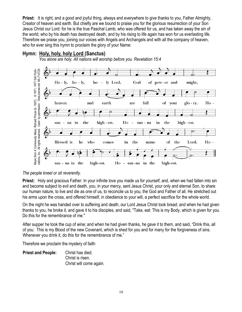**Priest:** It is right, and a good and joyful thing, always and everywhere to give thanks to you, Father Almighty, Creator of heaven and earth. But chiefly are we bound to praise you for the glorious resurrection of your Son Jesus Christ our Lord: for he is the true Paschal Lamb, who was offered for us, and has taken away the sin of the world; who by his death has destroyed death, and by his rising to life again has won for us everlasting life. Therefore we praise you, joining our voices with Angels and Archangels and with all the company of heaven, who for ever sing this hymn to proclaim the glory of your Name:



### **Hymn: Holy, holy, holy Lord (Sanctus)**

 *You alone are holy. All nations will worship before you. Revelation 15:4*

#### *The people kneel or sit reverently.*

**Priest:** Holy and gracious Father: In your infinite love you made us for yourself; and, when we had fallen into sin and become subject to evil and death, you, in your mercy, sent Jesus Christ, your only and eternal Son, to share our human nature, to live and die as one of us, to reconcile us to you, the God and Father of all. He stretched out his arms upon the cross, and offered himself, in obedience to your will, a perfect sacrifice for the whole world.

On the night he was handed over to suffering and death, our Lord Jesus Christ took bread; and when he had given thanks to you, he broke it, and gave it to his disciples, and said, "Take, eat: This is my Body, which is given for you. Do this for the remembrance of me."

After supper he took the cup of wine; and when he had given thanks, he gave it to them, and said, "Drink this, all of you: This is my Blood of the new Covenant, which is shed for you and for many for the forgiveness of sins. Whenever you drink it, do this for the remembrance of me."

Therefore we proclaim the mystery of faith:

**Priest and People:** Christ has died. Christ is risen. Christ will come again.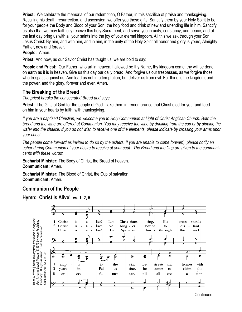**Priest:** We celebrate the memorial of our redemption, O Father, in this sacrifice of praise and thanksgiving. Recalling his death, resurrection, and ascension, we offer you these gifts. Sanctify them by your Holy Spirit to be for your people the Body and Blood of your Son, the holy food and drink of new and unending life in him. Sanctify us also that we may faithfully receive this holy Sacrament, and serve you in unity, constancy, and peace; and at the last day bring us with all your saints into the joy of your eternal kingdom. All this we ask through your Son Jesus Christ: By him, and with him, and in him, in the unity of the Holy Spirit all honor and glory is yours, Almighty Father, now and forever.

**People:** Amen.

**Priest:** And now, as our Savior Christ has taught us, we are bold to say:

**People and Priest:** Our Father, who art in heaven, hallowed be thy Name, thy kingdom come; thy will be done, on earth as it is in heaven. Give us this day our daily bread. And forgive us our trespasses, as we forgive those who trespass against us. And lead us not into temptation, but deliver us from evil. For thine is the kingdom, and the power, and the glory, forever and ever. Amen.

## **The Breaking of the Bread**

*The priest breaks the consecrated Bread and says*

**Priest:** The Gifts of God for the people of God. Take them in remembrance that Christ died for you, and feed on him in your hearts by faith, with thanksgiving.

*If you are a baptized Christian, we welcome you to Holy Communion at Light of Christ Anglican Church. Both the bread and the wine are offered at Communion. You may receive the wine by drinking from the cup or by dipping the wafer into the chalice. If you do not wish to receive one of the elements, please indicate by crossing your arms upon your chest.* 

*The people come forward as invited to do so by the ushers. If you are unable to come forward, please notify an usher during Communion of your desire to receive at your seat. The Bread and the Cup are given to the communicants with these words:*

**Eucharist Minister:** The Body of Christ, the Bread of heaven. **Communicant:** Amen.

**Eucharist Minister:** The Blood of Christ, the Cup of salvation. **Communicant:** Amen.

## **Communion of the People**

## **Hymn: Christ is Alive!****vs. 1, 2, 5**

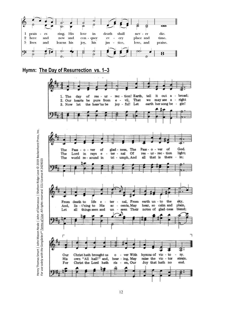

### **Hymn: The Day of Resurrection vs. 1–3**



12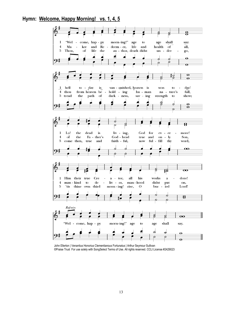### **Hymn: Welcome, Happy Morning! vs. 1, 4, 5**



John Ellerton | Venantius Honorius Clementianous Fortunatus | Arthur Seymour Sullivan ©Praise Trust For use solely with SongSelect Terms of Use. All rights reserved. CCLI License #2429023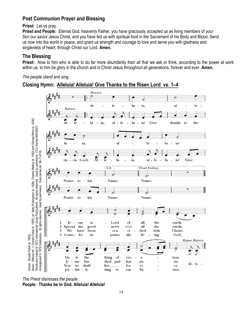### **Post Communion Prayer and Blessing**

#### **Priest:** Let us pray.

**Priest and People:** Eternal God, heavenly Father, you have graciously accepted us as living members of your Son our savior Jesus Christ, and you have fed us with spiritual food in the Sacrament of his Body and Blood. Send us now into the world in peace, and grant us strength and courage to love and serve you with gladness and singleness of heart; through Christ our Lord. **Amen.** 

### **The Blessing**

**Priest:** Now to him who is able to do far more abundantly than all that we ask or think, according to the power at work within us, to him be glory in the church and in Christ Jesus throughout all generations, forever and ever. **Amen.** 

#### *The people stand and sing.*

### **Closing Hymn: Alleluia! Alleluia! Give Thanks to the Risen Lord vs. 1–4**



*The Priest dismisses the people.*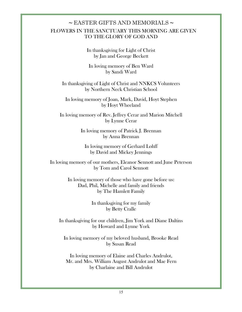## $\sim$  EASTER GIFTS AND MEMORIALS  $\sim$  FLOWERS IN THE SANCTUARY THIS MORNING ARE GIVEN TO THE GLORY OF GOD AND

In thanksgiving for Light of Christ by Jan and George Beckett

In loving memory of Ben Ward by Sandi Ward

In thanksgiving of Light of Christ and NNKCS Volunteers by Northern Neck Christian School

In loving memory of Joan, Mark, David, Hoyt Stephen by Hoyt Wheeland

In loving memory of Rev. Jeffrey Cerar and Marion Mitchell by Lynne Cerar

> In loving memory of Patrick J. Brennan by Anna Brennan

In loving memory of Gerhard Lohff by David and Mickey Jennings

In loving memory of our mothers, Eleanor Sennott and June Peterson by Tom and Carol Sennott

> In loving memory of those who have gone before us: Dad, Phil, Michelle and family and friends by The Hamlett Family

> > In thanksgiving for my family by Betty Cralle

In thanksgiving for our children, Jim York and Diane Daltins by Howard and Lynne York

In loving memory of my beloved husband, Brooke Read by Susan Read

In loving memory of Elaine and Charles Andrulot, Mr. and Mrs. William August Andrulot and Mae Fern by Charlaine and Bill Andrulot